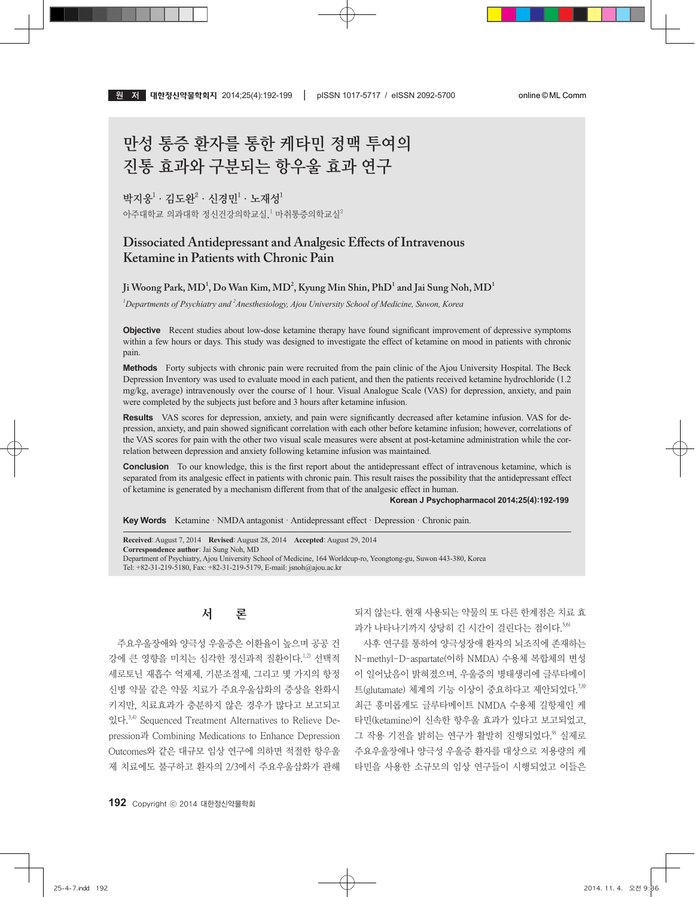# 만성 통증 환자를 통한 케타민 정맥 투여의 진통 효과와 구분되는 항우울 효과 연구

## 박지웅 $^1\cdot$  김도완 $^2\cdot$  신경민 $^1\cdot$  노재성 $^1$

아주대학교 의과대학 정신건강의학교실, $^1$  마취통증의학교실 $^2$ 

# **Dissociated Antidepressant and Analgesic Effects of Intravenous Ketamine in Patients with Chronic Pain**

# $\,$  Ji Woong Park, MD<sup>1</sup>, Do Wan Kim, MD<sup>2</sup>, Kyung Min Shin, PhD<sup>1</sup> and Jai Sung Noh, MD<sup>1</sup>

*1 Departments of Psychiatry and 2 Anesthesiology, Ajou University School of Medicine, Suwon, Korea*

**Objective** Recent studies about low-dose ketamine therapy have found significant improvement of depressive symptoms within a few hours or days. This study was designed to investigate the effect of ketamine on mood in patients with chronic pain.

Methods Forty subjects with chronic pain were recruited from the pain clinic of the Ajou University Hospital. The Beck Depression Inventory was used to evaluate mood in each patient, and then the patients received ketamine hydrochloride (1.2 mg/kg, average) intravenously over the course of 1 hour. Visual Analogue Scale (VAS) for depression, anxiety, and pain were completed by the subjects just before and 3 hours after ketamine infusion.

**Results** VAS scores for depression, anxiety, and pain were significantly decreased after ketamine infusion. VAS for depression, anxiety, and pain showed significant correlation with each other before ketamine infusion; however, correlations of the VAS scores for pain with the other two visual scale measures were absent at post-ketamine administration while the correlation between depression and anxiety following ketamine infusion was maintained.

**Conclusion** To our knowledge, this is the first report about the antidepressant effect of intravenous ketamine, which is separated from its analgesic effect in patients with chronic pain. This result raises the possibility that the antidepressant effect of ketamine is generated by a mechanism different from that of the analgesic effect in human.

#### **Korean J Psychopharmacol 2014;25(4):192-199**

**Key Words** Ketamine · NMDA antagonist · Antidepressant effect · Depression · Chronic pain.

**Received**: August 7, 2014 **Revised**: August 28, 2014 **Accepted**: August 29, 2014 **Correspondence author**: Jai Sung Noh, MD Department of Psychiatry, Ajou University School of Medicine, 164 Worldcup-ro, Yeongtong-gu, Suwon 443-380, Korea Tel: +82-31-219-5180, Fax: +82-31-219-5179, E-mail: jsnoh@ajou.ac.kr

# 서론

주요우울장애와 양극성 우울증은 이환율이 높으며 공공 건 강에 큰 영향을 미치는 심각한 정신과적 질환이다.<sup>1,2)</sup> 선택적 세로토닌 재흡수 억제제, 기분조절제, 그리고 몇 가지의 항정 신병 약물 같은 약물 치료가 주요우울삽화의 증상을 완화시 키지만, 치료효과가 충분하지 않은 경우가 많다고 보고되고 있다. 3,4) Sequenced Treatment Alternatives to Relieve Depression과 Combining Medications to Enhance Depression Outcomes와 같은 대규모 임상 연구에 의하면 적절한 항우울 제 치료에도 불구하고 환자의 2/3에서 주요우울삽화가 관해 되지 않는다. 현재 사용되는 약물의 또 다른 한계점은 치료 효 과가 나타나기까지 상당히 긴 시간이 걸린다는 점이다. 5,6

사후 연구를 통하여 양극성장애 환자의 뇌조직에 존재하는 N-methyl-D-aspartate(이하 NMDA) 수용체 복합체의 변성 이 일어났음이 밝혀졌으며, 우울증의 병태생리에 글루타메이 트(glutamate) 체계의 기능 이상이 중요하다고 제안되었다.<sup>7,8)</sup> 최근 흥미롭게도 글루타메이트 NMDA 수용체 길항제인 케 타민(ketamine)이 신속한 항우울 효과가 있다고 보고되었고, 그 작용 기전을 밝히는 연구가 활발히 진행되었다.<sup>9</sup> 실제로 주요우울장애나 양극성 우울증 환자를 대상으로 저용량의 케 타민을 사용한 소규모의 임상 연구들이 시행되었고 이들은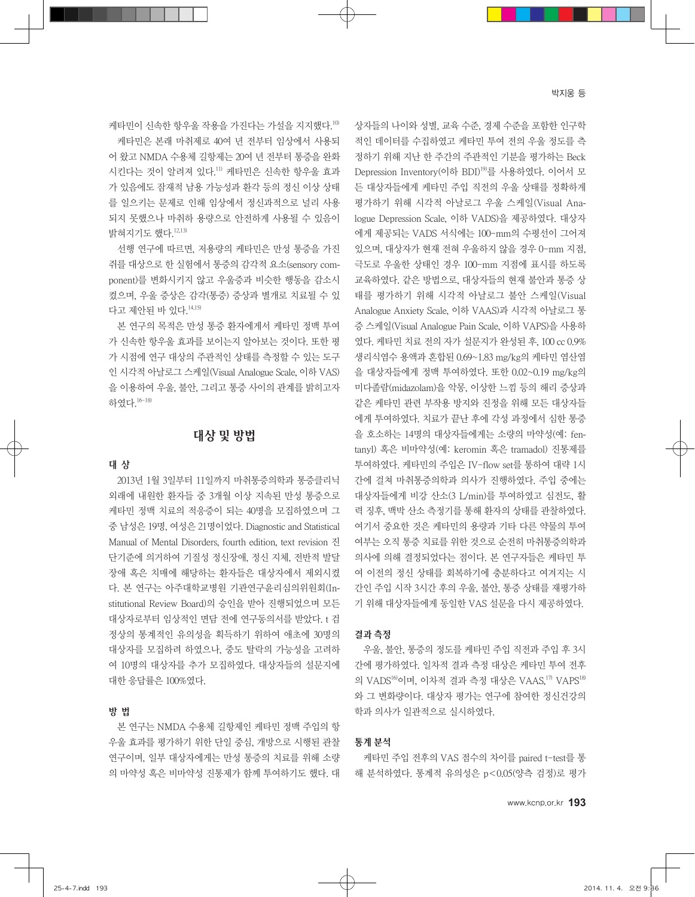케타민이 신속한 항우울 작용을 가진다는 가설을 지지했다. 10)

케타민은 본래 마취제로 40여 년 전부터 임상에서 사용되 어 왔고 NMDA 수용체 길항제는 20여 년 전부터 통증을 완화 시킨다는 것이 알려져 있다. 11) 케타민은 신속한 항우울 효과 가 있음에도 잠재적 남용 가능성과 환각 등의 정신 이상 상태 를 일으키는 문제로 인해 임상에서 정신과적으로 널리 사용 되지 못했으나 마취하 용량으로 안전하게 사용될 수 있음이 밝혀지기도 했다. 12,13)

선행 연구에 따르면, 저용량의 케타민은 만성 통증을 가진 쥐를 대상으로 한 실험에서 통증의 감각적 요소(sensory component)를 변화시키지 않고 우울증과 비슷한 행동을 감소시 켰으며, 우울 증상은 감각(통증) 증상과 별개로 치료될 수 있 다고 제안된 바 있다. 14,15)

본 연구의 목적은 만성 통증 환자에게서 케타민 정맥 투여 가 신속한 항우울 효과를 보이는지 알아보는 것이다. 또한 평 가 시점에 연구 대상의 주관적인 상태를 측정할 수 있는 도구 인 시각적 아날로그 스케일(Visual Analogue Scale, 이하 VAS) 을 이용하여 우울, 불안, 그리고 통증 사이의 관계를 밝히고자 하였다. 16-18)

# 대상 및 방법

#### 대 상

2013년 1월 3일부터 11일까지 마취통증의학과 통증클리닉 외래에 내원한 환자들 중 3개월 이상 지속된 만성 통증으로 케타민 정맥 치료의 적응증이 되는 40명을 모집하였으며 그 중 남성은 19명, 여성은 21명이었다. Diagnostic and Statistical Manual of Mental Disorders, fourth edition, text revision 진 단기준에 의거하여 기질성 정신장애, 정신 지체, 전반적 발달 장애 혹은 치매에 해당하는 환자들은 대상자에서 제외시켰 다. 본 연구는 아주대학교병원 기관연구윤리심의위원회(Institutional Review Board)의 승인을 받아 진행되었으며 모든 대상자로부터 임상적인 면담 전에 연구동의서를 받았다. t 검 정상의 통계적인 유의성을 획득하기 위하여 애초에 30명의 대상자를 모집하려 하였으나, 중도 탈락의 가능성을 고려하 여 10명의 대상자를 추가 모집하였다. 대상자들의 설문지에 대한 응답률은 100%였다.

# 방 법

본 연구는 NMDA 수용체 길항제인 케타민 정맥 주입의 항 우울 효과를 평가하기 위한 단일 중심, 개방으로 시행된 관찰 연구이며, 일부 대상자에게는 만성 통증의 치료를 위해 소량 의 마약성 혹은 비마약성 진통제가 함께 투여하기도 했다. 대 상자들의 나이와 성별, 교육 수준, 경제 수준을 포함한 인구학 적인 데이터를 수집하였고 케타민 투여 전의 우울 정도를 측 정하기 위해 지난 한 주간의 주관적인 기분을 평가하는 Beck Depression Inventory(이하 BDI) 19) 를 사용하였다. 이어서 모 든 대상자들에게 케타민 주입 직전의 우울 상태를 정확하게 평가하기 위해 시각적 아날로그 우울 스케일(Visual Analogue Depression Scale, 이하 VADS)을 제공하였다. 대상자 에게 제공되는 VADS 서식에는 100-mm의 수평선이 그어져 있으며, 대상자가 현재 전혀 우울하지 않을 경우 0-mm 지점, 극도로 우울한 상태인 경우 100-mm 지점에 표시를 하도록 교육하였다. 같은 방법으로, 대상자들의 현재 불안과 통증 상 태를 평가하기 위해 시각적 아날로그 불안 스케일(Visual Analogue Anxiety Scale, 이하 VAAS)과 시각적 아날로그 통 증 스케일(Visual Analogue Pain Scale, 이하 VAPS)을 사용하 였다. 케타민 치료 전의 자가 설문지가 완성된 후, 100 cc 0.9% 생리식염수 용액과 혼합된 0.69~1.83 mg/kg의 케타민 염산염 을 대상자들에게 정맥 투여하였다. 또한 0.02~0.19 mg/kg의 미다졸람(midazolam)을 악몽, 이상한 느낌 등의 해리 증상과 같은 케타민 관련 부작용 방지와 진정을 위해 모든 대상자들 에게 투여하였다. 치료가 끝난 후에 각성 과정에서 심한 통증 을 호소하는 14명의 대상자들에게는 소량의 마약성(예: fentanyl) 혹은 비마약성(예: keromin 혹은 tramadol) 진통제를 투여하였다. 케타민의 주입은 IV-flow set를 통하여 대략 1시 간에 걸쳐 마취통증의학과 의사가 진행하였다. 주입 중에는 대상자들에게 비강 산소(3 L/min)를 투여하였고 심전도, 활 력 징후, 맥박 산소 측정기를 통해 환자의 상태를 관찰하였다. 여기서 중요한 것은 케타민의 용량과 기타 다른 약물의 투여 여부는 오직 통증 치료를 위한 것으로 순전히 마취통증의학과 의사에 의해 결정되었다는 점이다. 본 연구자들은 케타민 투 여 이전의 정신 상태를 회복하기에 충분하다고 여겨지는 시 간인 주입 시작 3시간 후의 우울, 불안, 통증 상태를 재평가하 기 위해 대상자들에게 동일한 VAS 설문을 다시 제공하였다.

#### 결과 측정

우울, 불안, 통증의 정도를 케타민 주입 직전과 주입 후 3시 간에 평가하였다. 일차적 결과 측정 대상은 케타민 투여 전후 의 VADS<sup>16)</sup>이며, 이차적 결과 측정 대상은 VAAS,<sup>17)</sup> VAPS<sup>18)</sup> 와 그 변화량이다. 대상자 평가는 연구에 참여한 정신건강의 학과 의사가 일관적으로 실시하였다.

#### 통계 분석

케타민 주입 전후의 VAS 점수의 차이를 paired t-test를 통 해 분석하였다. 통계적 유의성은 p<0.05(양측 검정)로 평가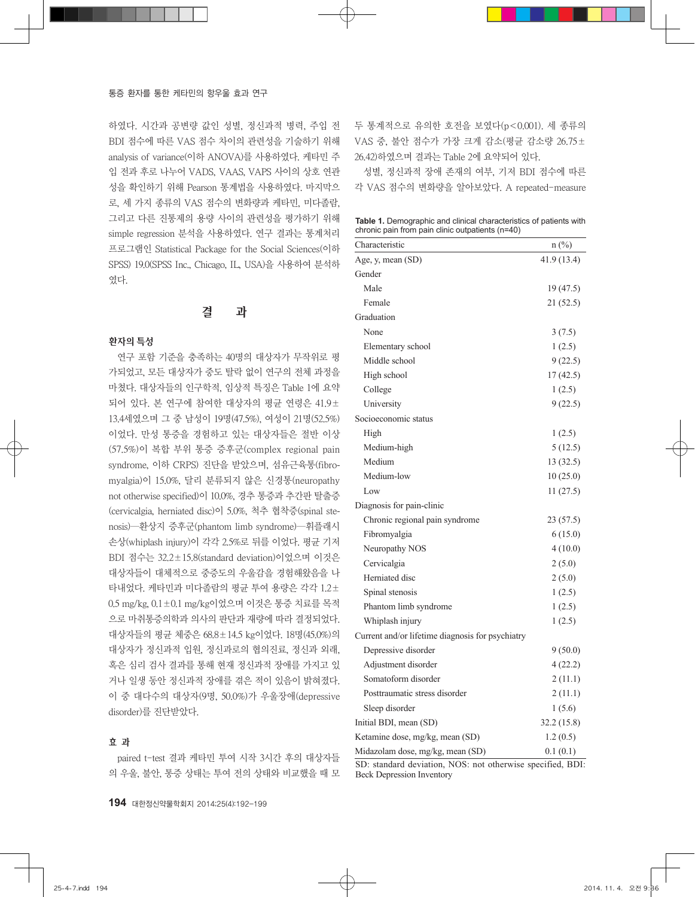하였다. 시간과 공변량 값인 성별, 정신과적 병력, 주입 전 BDI 점수에 따른 VAS 점수 차이의 관련성을 기술하기 위해 analysis of variance(이하 ANOVA)를 사용하였다. 케타민 주 입 전과 후로 나누어 VADS, VAAS, VAPS 사이의 상호 연관 성을 확인하기 위해 Pearson 통계법을 사용하였다. 마지막으 로, 세 가지 종류의 VAS 점수의 변화량과 케타민, 미다졸람, 그리고 다른 진통제의 용량 사이의 관련성을 평가하기 위해 simple regression 분석을 사용하였다. 연구 결과는 통계처리 프로그램인 Statistical Package for the Social Sciences(이하 SPSS) 19.0(SPSS Inc., Chicago, IL, USA)을 사용하여 분석하 였다.

### 결 과

#### 환자의 특성

연구 포함 기준을 충족하는 40명의 대상자가 무작위로 평 가되었고, 모든 대상자가 중도 탈락 없이 연구의 전체 과정을 마쳤다. 대상자들의 인구학적, 임상적 특징은 Table 1에 요약 되어 있다. 본 연구에 참여한 대상자의 평균 연령은 41.9± 13.4세였으며 그 중 남성이 19명(47.5%), 여성이 21명(52.5%) 이었다. 만성 통증을 경험하고 있는 대상자들은 절반 이상 (57.5%)이 복합 부위 통증 증후군(complex regional pain syndrome, 이하 CRPS) 진단을 받았으며, 섬유근육통(fibromyalgia)이 15.0%, 달리 분류되지 않은 신경통(neuropathy not otherwise specified)이 10.0%, 경추 통증과 추간판 탈출증 (cervicalgia, herniated disc)이 5.0%, 척추 협착증(spinal stenosis)―환상지 증후군(phantom limb syndrome)―휘플래시 손상(whiplash injury)이 각각 2.5%로 뒤를 이었다. 평균 기저 BDI 점수는 32.2±15.8(standard deviation)이었으며 이것은 대상자들이 대체적으로 중증도의 우울감을 경험해왔음을 나 타내었다. 케타민과 미다졸람의 평균 투여 용량은 각각 1.2± 0.5 mg/kg, 0.1±0.1 mg/kg이었으며 이것은 통증 치료를 목적 으로 마취통증의학과 의사의 판단과 재량에 따라 결정되었다. 대상자들의 평균 체중은 68.8±14.5 kg이었다. 18명(45.0%)의 대상자가 정신과적 입원, 정신과로의 협의진료, 정신과 외래, 혹은 심리 검사 결과를 통해 현재 정신과적 장애를 가지고 있 거나 일생 동안 정신과적 장애를 겪은 적이 있음이 밝혀졌다. 이 중 대다수의 대상자(9명, 50.0%)가 우울장애(depressive disorder)를 진단받았다.

#### 효 과

paired t-test 결과 케타민 투여 시작 3시간 후의 대상자들 의 우울, 불안, 통증 상태는 투여 전의 상태와 비교했을 때 모 두 통계적으로 유의한 호전을 보였다(p<0.001). 세 종류의 VAS 중, 불안 점수가 가장 크게 감소(평균 감소량 26.75± 26.42)하였으며 결과는 Table 2에 요약되어 있다.

성별, 정신과적 장애 존재의 여부, 기저 BDI 점수에 따른 각 VAS 점수의 변화량을 알아보았다. A repeated-measure

**Table 1.** Demographic and clinical characteristics of patients with chronic pain from pain clinic outpatients (n=40)

| Characteristic                                   | $n\left(\frac{0}{0}\right)$ |
|--------------------------------------------------|-----------------------------|
| Age, y, mean (SD)                                | 41.9 (13.4)                 |
| Gender                                           |                             |
| Male                                             | 19 (47.5)                   |
| Female                                           | 21 (52.5)                   |
| Graduation                                       |                             |
| None                                             | 3(7.5)                      |
| Elementary school                                | 1(2.5)                      |
| Middle school                                    | 9(22.5)                     |
| High school                                      | 17(42.5)                    |
| College                                          | 1(2.5)                      |
| University                                       | 9(22.5)                     |
| Socioeconomic status                             |                             |
| High                                             | 1(2.5)                      |
| Medium-high                                      | 5(12.5)                     |
| Medium                                           | 13 (32.5)                   |
| Medium-low                                       | 10(25.0)                    |
| Low                                              | 11(27.5)                    |
| Diagnosis for pain-clinic                        |                             |
| Chronic regional pain syndrome                   | 23(57.5)                    |
| Fibromyalgia                                     | 6(15.0)                     |
| Neuropathy NOS                                   | 4(10.0)                     |
| Cervicalgia                                      | 2(5.0)                      |
| Herniated disc                                   | 2(5.0)                      |
| Spinal stenosis                                  | 1(2.5)                      |
| Phantom limb syndrome                            | 1(2.5)                      |
| Whiplash injury                                  | 1(2.5)                      |
| Current and/or lifetime diagnosis for psychiatry |                             |
| Depressive disorder                              | 9(50.0)                     |
| Adjustment disorder                              | 4(22.2)                     |
| Somatoform disorder                              | 2(11.1)                     |
| Posttraumatic stress disorder                    | 2(11.1)                     |
| Sleep disorder                                   | 1(5.6)                      |
| Initial BDI, mean (SD)                           | 32.2 (15.8)                 |
| Ketamine dose, mg/kg, mean (SD)                  | 1.2(0.5)                    |
| Midazolam dose, mg/kg, mean (SD)                 | 0.1(0.1)                    |

SD: standard deviation, NOS: not otherwise specified, BDI: Beck Depression Inventory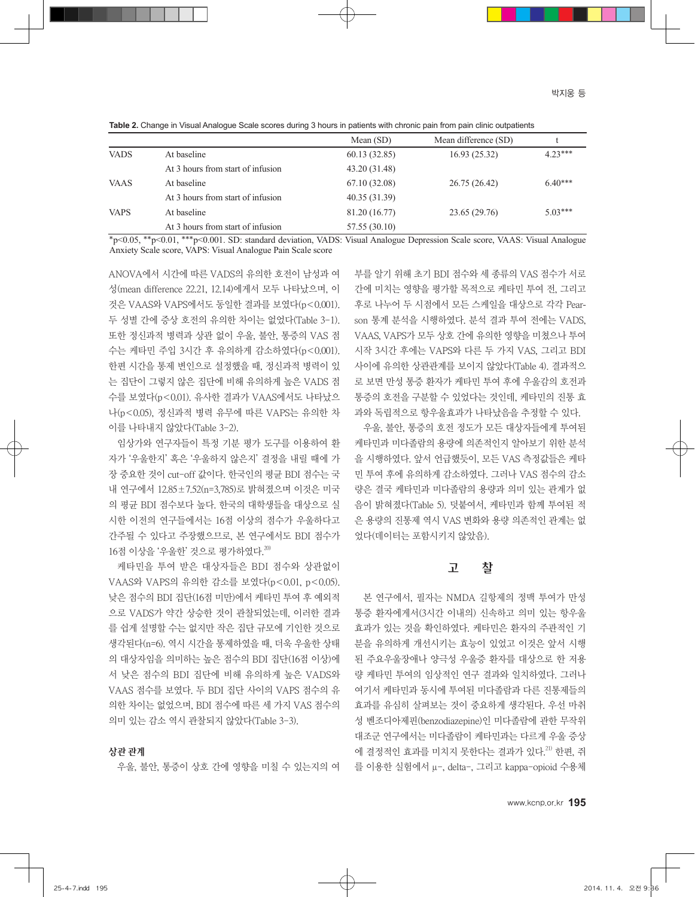|             |                                   | Mean $(SD)$   | Mean difference (SD) |           |
|-------------|-----------------------------------|---------------|----------------------|-----------|
| <b>VADS</b> | At baseline                       | 60.13 (32.85) | 16.93(25.32)         | $4.23***$ |
|             | At 3 hours from start of infusion | 43.20 (31.48) |                      |           |
| <b>VAAS</b> | At baseline                       | 67.10(32.08)  | 26.75 (26.42)        | $6.40***$ |
|             | At 3 hours from start of infusion | 40.35 (31.39) |                      |           |
| <b>VAPS</b> | At baseline                       | 81.20 (16.77) | 23.65 (29.76)        | $5.03***$ |
|             | At 3 hours from start of infusion | 57.55 (30.10) |                      |           |

**Table 2.** Change in Visual Analogue Scale scores during 3 hours in patients with chronic pain from pain clinic outpatients

\*p<0.05, \*\*p<0.01, \*\*\*p<0.001. SD: standard deviation, VADS: Visual Analogue Depression Scale score, VAAS: Visual Analogue Anxiety Scale score, VAPS: Visual Analogue Pain Scale score

ANOVA에서 시간에 따른 VADS의 유의한 호전이 남성과 여 성(mean difference 22.21, 12.14)에게서 모두 나타났으며, 이 것은 VAAS와 VAPS에서도 동일한 결과를 보였다(p<0.001). 두 성별 간에 증상 호전의 유의한 차이는 없었다(Table 3-1). 또한 정신과적 병력과 상관 없이 우울, 불안, 통증의 VAS 점 수는 케타민 주입 3시간 후 유의하게 감소하였다(p<0.001). 한편 시간을 통제 변인으로 설정했을 때, 정신과적 병력이 있 는 집단이 그렇지 않은 집단에 비해 유의하게 높은 VADS 점 수를 보였다(p<0.01). 유사한 결과가 VAAS에서도 나타났으 나(p<0.05), 정신과적 병력 유무에 따른 VAPS는 유의한 차 이를 나타내지 않았다(Table 3-2).

임상가와 연구자들이 특정 기분 평가 도구를 이용하여 환 자가 '우울한지' 혹은 '우울하지 않은지' 결정을 내릴 때에 가 장 중요한 것이 cut-off 값이다. 한국인의 평균 BDI 점수는 국 내 연구에서 12.85±7.52(n=3,785)로 밝혀졌으며 이것은 미국 의 평균 BDI 점수보다 높다. 한국의 대학생들을 대상으로 실 시한 이전의 연구들에서는 16점 이상의 점수가 우울하다고 간주될 수 있다고 주장했으므로, 본 연구에서도 BDI 점수가 16점 이상을 '우울한' 것으로 평가하였다. 20)

케타민을 투여 받은 대상자들은 BDI 점수와 상관없이 VAAS와 VAPS의 유의한 감소를 보였다(p<0.01, p<0.05). 낮은 점수의 BDI 집단(16점 미만)에서 케타민 투여 후 예외적 으로 VADS가 약간 상승한 것이 관찰되었는데, 이러한 결과 를 쉽게 설명할 수는 없지만 작은 집단 규모에 기인한 것으로 생각된다(n=6). 역시 시간을 통제하였을 때, 더욱 우울한 상태 의 대상자임을 의미하는 높은 점수의 BDI 집단(16점 이상)에 서 낮은 점수의 BDI 집단에 비해 유의하게 높은 VADS와 VAAS 점수를 보였다. 두 BDI 집단 사이의 VAPS 점수의 유 의한 차이는 없었으며, BDI 점수에 따른 세 가지 VAS 점수의 의미 있는 감소 역시 관찰되지 않았다(Table 3-3).

#### 상관 관계

우울, 불안, 통증이 상호 간에 영향을 미칠 수 있는지의 여

부를 알기 위해 초기 BDI 점수와 세 종류의 VAS 점수가 서로 간에 미치는 영향을 평가할 목적으로 케타민 투여 전, 그리고 후로 나누어 두 시점에서 모든 스케일을 대상으로 각각 Pearson 통계 분석을 시행하였다. 분석 결과 투여 전에는 VADS, VAAS, VAPS가 모두 상호 간에 유의한 영향을 미쳤으나 투여 시작 3시간 후에는 VAPS와 다른 두 가지 VAS, 그리고 BDI 사이에 유의한 상관관계를 보이지 않았다(Table 4). 결과적으 로 보면 만성 통증 환자가 케타민 투여 후에 우울감의 호전과 통증의 호전을 구분할 수 있었다는 것인데, 케타민의 진통 효 과와 독립적으로 항우울효과가 나타났음을 추정할 수 있다.

우울, 불안, 통증의 호전 정도가 모든 대상자들에게 투여된 케타민과 미다졸람의 용량에 의존적인지 알아보기 위한 분석 을 시행하였다. 앞서 언급했듯이, 모든 VAS 측정값들은 케타 민 투여 후에 유의하게 감소하였다. 그러나 VAS 점수의 감소 량은 결국 케타민과 미다졸람의 용량과 의미 있는 관계가 없 음이 밝혀졌다(Table 5). 덧붙여서, 케타민과 함께 투여된 적 은 용량의 진통제 역시 VAS 변화와 용량 의존적인 관계는 없 었다(데이터는 포함시키지 않았음).

### 고 찰

본 연구에서, 필자는 NMDA 길항제의 정맥 투여가 만성 통증 환자에게서(3시간 이내의) 신속하고 의미 있는 항우울 효과가 있는 것을 확인하였다. 케타민은 환자의 주관적인 기 분을 유의하게 개선시키는 효능이 있었고 이것은 앞서 시행 된 주요우울장애나 양극성 우울증 환자를 대상으로 한 저용 량 케타민 투여의 임상적인 연구 결과와 일치하였다. 그러나 여기서 케타민과 동시에 투여된 미다졸람과 다른 진통제들의 효과를 유심히 살펴보는 것이 중요하게 생각된다. 우선 마취 성 벤조디아제핀(benzodiazepine)인 미다졸람에 관한 무작위 대조군 연구에서는 미다졸람이 케타민과는 다르게 우울 증상 에 결정적인 효과를 미치지 못한다는 결과가 있다. 21) 한편, 쥐 를 이용한 실험에서 μ-, delta-, 그리고 kappa-opioid 수용체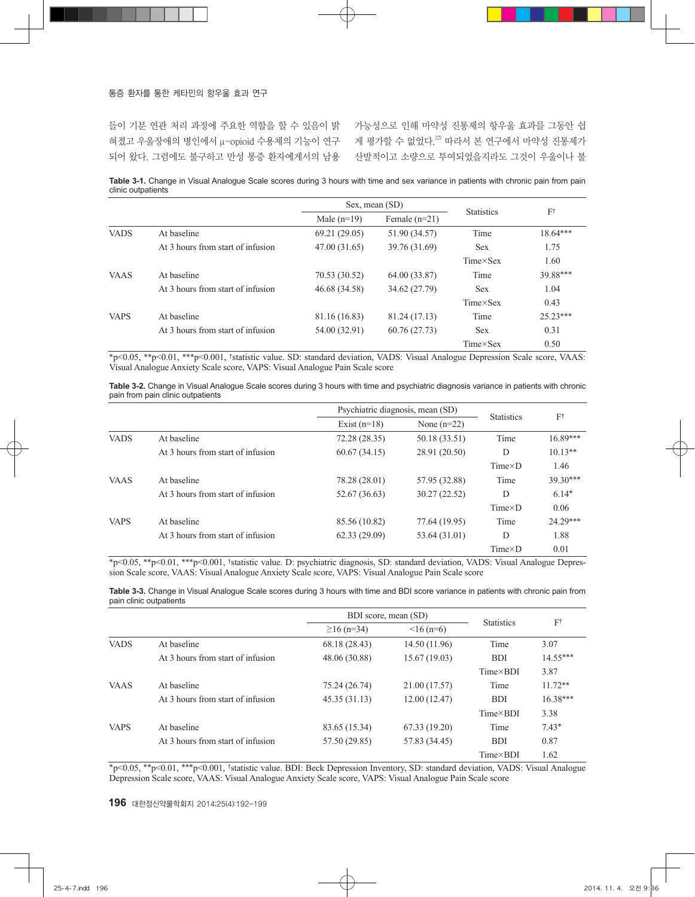들이 기분 연관 처리 과정에 주요한 역할을 할 수 있음이 밝 가능성으로 인해 마약성 진통제의 항우울 효과를 그동안 쉽 혀졌고 우울장애의 병인에서 μ-opioid 수용체의 기능이 연구 게 평가할 수 없었다.<sup>20</sup> 따라서 본 연구에서 마약성 진통제가 되어 왔다. 그럼에도 불구하고 만성 통증 환자에게서의 남용 산발적이고 소량으로 투여되었을지라도 그것이 우울이나 불

**Table 3-1.** Change in Visual Analogue Scale scores during 3 hours with time and sex variance in patients with chronic pain from pain clinic outpatients

|             |                                   |               | Sex, mean (SD)  |                   |               |  |
|-------------|-----------------------------------|---------------|-----------------|-------------------|---------------|--|
|             |                                   | Male $(n=19)$ | Female $(n=21)$ | <b>Statistics</b> | $F^{\dagger}$ |  |
| <b>VADS</b> | At baseline                       | 69.21 (29.05) | 51.90 (34.57)   | Time              | $18.64***$    |  |
|             | At 3 hours from start of infusion | 47.00 (31.65) | 39.76 (31.69)   | <b>Sex</b>        | 1.75          |  |
|             |                                   |               |                 | $Time \times Sex$ | 1.60          |  |
| <b>VAAS</b> | At baseline                       | 70.53 (30.52) | 64.00 (33.87)   | Time              | 39.88***      |  |
|             | At 3 hours from start of infusion | 46.68 (34.58) | 34.62 (27.79)   | <b>Sex</b>        | 1.04          |  |
|             |                                   |               |                 | $Time \times Sex$ | 0.43          |  |
| <b>VAPS</b> | At baseline                       | 81.16 (16.83) | 81.24 (17.13)   | Time              | $25.23***$    |  |
|             | At 3 hours from start of infusion | 54.00 (32.91) | 60.76 (27.73)   | <b>Sex</b>        | 0.31          |  |
|             |                                   |               |                 | $Time \times Sex$ | 0.50          |  |

\*p<0.05, \*\*p<0.01, \*\*\*p<0.001, †statistic value. SD: standard deviation, VADS: Visual Analogue Depression Scale score, VAAS: Visual Analogue Anxiety Scale score, VAPS: Visual Analogue Pain Scale score

**Table 3-2.** Change in Visual Analogue Scale scores during 3 hours with time and psychiatric diagnosis variance in patients with chronic pain from pain clinic outpatients

|             |                                   |                | Psychiatric diagnosis, mean (SD) |                   |               |
|-------------|-----------------------------------|----------------|----------------------------------|-------------------|---------------|
|             |                                   | Exist $(n=18)$ | None $(n=22)$                    | <b>Statistics</b> | $F^{\dagger}$ |
| <b>VADS</b> | At baseline                       | 72.28 (28.35)  | 50.18 (33.51)                    | Time              | $16.89***$    |
|             | At 3 hours from start of infusion | 60.67(34.15)   | 28.91 (20.50)                    | D                 | $10.13**$     |
|             |                                   |                |                                  | $Time\times D$    | 1.46          |
| <b>VAAS</b> | At baseline                       | 78.28 (28.01)  | 57.95 (32.88)                    | Time              | $39.30***$    |
|             | At 3 hours from start of infusion | 52.67 (36.63)  | 30.27(22.52)                     | D                 | $6.14*$       |
|             |                                   |                |                                  | $Time\times D$    | 0.06          |
| <b>VAPS</b> | At baseline                       | 85.56 (10.82)  | 77.64 (19.95)                    | Time              | 24.29***      |
|             | At 3 hours from start of infusion | 62.33(29.09)   | 53.64 (31.01)                    | D                 | 1.88          |
|             |                                   |                |                                  | $Time\times D$    | 0.01          |

\*p<0.05, \*\*p<0.01, \*\*\*p<0.001, †statistic value. D: psychiatric diagnosis, SD: standard deviation, VADS: Visual Analogue Depression Scale score, VAAS: Visual Analogue Anxiety Scale score, VAPS: Visual Analogue Pain Scale score

**Table 3-3.** Change in Visual Analogue Scale scores during 3 hours with time and BDI score variance in patients with chronic pain from pain clinic outpatients

|             |                                   | BDI score, mean (SD) |               |                   |               |
|-------------|-----------------------------------|----------------------|---------------|-------------------|---------------|
|             |                                   | $\geq$ 16 (n=34)     | $16(n=6)$     | <b>Statistics</b> | $F^{\dagger}$ |
| <b>VADS</b> | At baseline                       | 68.18 (28.43)        | 14.50 (11.96) | Time              | 3.07          |
|             | At 3 hours from start of infusion | 48.06 (30.88)        | 15.67(19.03)  | <b>BDI</b>        | $14.55***$    |
|             |                                   |                      |               | $Time \times BDI$ | 3.87          |
| <b>VAAS</b> | At baseline                       | 75.24 (26.74)        | 21.00 (17.57) | Time              | $11.72**$     |
|             | At 3 hours from start of infusion | 45.35(31.13)         | 12.00(12.47)  | <b>BDI</b>        | $16.38***$    |
|             |                                   |                      |               | Time×BDI          | 3.38          |
| <b>VAPS</b> | At baseline                       | 83.65 (15.34)        | 67.33 (19.20) | Time              | $7.43*$       |
|             | At 3 hours from start of infusion | 57.50 (29.85)        | 57.83 (34.45) | <b>BDI</b>        | 0.87          |
|             |                                   |                      |               | $Time \times BDI$ | 1.62          |

\*p<0.05, \*\*p<0.01, \*\*\*p<0.001, †statistic value. BDI: Beck Depression Inventory, SD: standard deviation, VADS: Visual Analogue Depression Scale score, VAAS: Visual Analogue Anxiety Scale score, VAPS: Visual Analogue Pain Scale score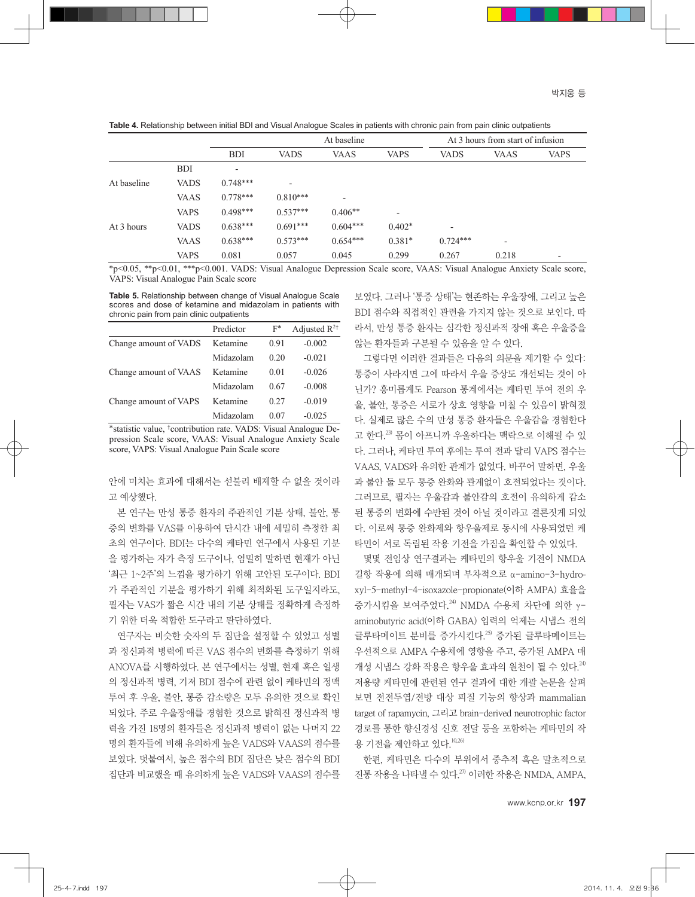**Table 4.** Relationship between initial BDI and Visual Analogue Scales in patients with chronic pain from pain clinic outpatients

|             |             |                          | At baseline              |                          | At 3 hours from start of infusion |             |                          |                          |
|-------------|-------------|--------------------------|--------------------------|--------------------------|-----------------------------------|-------------|--------------------------|--------------------------|
|             |             | <b>BDI</b>               | <b>VADS</b>              | <b>VAAS</b>              | <b>VAPS</b>                       | <b>VADS</b> | <b>VAAS</b>              | <b>VAPS</b>              |
|             | <b>BDI</b>  | $\overline{\phantom{0}}$ |                          |                          |                                   |             |                          |                          |
| At baseline | <b>VADS</b> | $0.748***$               | $\overline{\phantom{a}}$ |                          |                                   |             |                          |                          |
|             | <b>VAAS</b> | $0.778***$               | $0.810***$               | $\overline{\phantom{0}}$ |                                   |             |                          |                          |
|             | <b>VAPS</b> | $0.498***$               | $0.537***$               | $0.406**$                | $\overline{\phantom{0}}$          |             |                          |                          |
| At 3 hours  | <b>VADS</b> | $0.638***$               | $0.691***$               | $0.604***$               | $0.402*$                          |             |                          |                          |
|             | <b>VAAS</b> | $0.638***$               | $0.573***$               | $0.654***$               | $0.381*$                          | $0.724***$  | $\overline{\phantom{a}}$ |                          |
|             | <b>VAPS</b> | 0.081                    | 0.057                    | 0.045                    | 0.299                             | 0.267       | 0.218                    | $\overline{\phantom{0}}$ |

\*p<0.05, \*\*p<0.01, \*\*\*p<0.001. VADS: Visual Analogue Depression Scale score, VAAS: Visual Analogue Anxiety Scale score, VAPS: Visual Analogue Pain Scale score

**Table 5.** Relationship between change of Visual Analogue Scale scores and dose of ketamine and midazolam in patients with chronic pain from pain clinic outpatients

|                       | Predictor | $F^*$ | Adjusted $R^{2\dagger}$ |
|-----------------------|-----------|-------|-------------------------|
| Change amount of VADS | Ketamine  | 0.91  | $-0.002$                |
|                       | Midazolam | 0.20  | $-0.021$                |
| Change amount of VAAS | Ketamine  | 0.01  | $-0.026$                |
|                       | Midazolam | 0.67  | $-0.008$                |
| Change amount of VAPS | Ketamine  | 0.27  | $-0.019$                |
|                       | Midazolam | 0.07  | $-0.025$                |

\*statistic value, †contribution rate. VADS: Visual Analogue Depression Scale score, VAAS: Visual Analogue Anxiety Scale score, VAPS: Visual Analogue Pain Scale score

안에 미치는 효과에 대해서는 섣불리 배제할 수 없을 것이라 고 예상했다.

본 연구는 만성 통증 환자의 주관적인 기분 상태, 불안, 통 증의 변화를 VAS를 이용하여 단시간 내에 세밀히 측정한 최 초의 연구이다. BDI는 다수의 케타민 연구에서 사용된 기분 을 평가하는 자가 측정 도구이나, 엄밀히 말하면 현재가 아닌 '최근 1~2주'의 느낌을 평가하기 위해 고안된 도구이다. BDI 가 주관적인 기분을 평가하기 위해 최적화된 도구일지라도, 필자는 VAS가 짧은 시간 내의 기분 상태를 정확하게 측정하 기 위한 더욱 적합한 도구라고 판단하였다.

연구자는 비슷한 숫자의 두 집단을 설정할 수 있었고 성별 과 정신과적 병력에 따른 VAS 점수의 변화를 측정하기 위해 ANOVA를 시행하였다. 본 연구에서는 성별, 현재 혹은 일생 의 정신과적 병력, 기저 BDI 점수에 관련 없이 케타민의 정맥 투여 후 우울, 불안, 통증 감소량은 모두 유의한 것으로 확인 되었다. 주로 우울장애를 경험한 것으로 밝혀진 정신과적 병 력을 가진 18명의 환자들은 정신과적 병력이 없는 나머지 22 명의 환자들에 비해 유의하게 높은 VADS와 VAAS의 점수를 보였다. 덧붙여서, 높은 점수의 BDI 집단은 낮은 점수의 BDI 집단과 비교했을 때 유의하게 높은 VADS와 VAAS의 점수를 보였다. 그러나 '통증 상태'는 현존하는 우울장애, 그리고 높은 BDI 점수와 직접적인 관련을 가지지 않는 것으로 보인다. 따 라서, 만성 통증 환자는 심각한 정신과적 장애 혹은 우울증을 앓는 환자들과 구분될 수 있음을 알 수 있다.

그렇다면 이러한 결과들은 다음의 의문을 제기할 수 있다: 통증이 사라지면 그에 따라서 우울 증상도 개선되는 것이 아 닌가? 흥미롭게도 Pearson 통계에서는 케타민 투여 전의 우 울, 불안, 통증은 서로가 상호 영향을 미칠 수 있음이 밝혀졌 다. 실제로 많은 수의 만성 통증 환자들은 우울감을 경험한다 고 한다. 23) 몸이 아프니까 우울하다는 맥락으로 이해될 수 있 다. 그러나, 케타민 투여 후에는 투여 전과 달리 VAPS 점수는 VAAS, VADS와 유의한 관계가 없었다. 바꾸어 말하면, 우울 과 불안 둘 모두 통증 완화와 관계없이 호전되었다는 것이다. 그러므로, 필자는 우울감과 불안감의 호전이 유의하게 감소 된 통증의 변화에 수반된 것이 아닐 것이라고 결론짓게 되었 다. 이로써 통증 완화제와 항우울제로 동시에 사용되었던 케 타민이 서로 독립된 작용 기전을 가짐을 확인할 수 있었다.

몇몇 전임상 연구결과는 케타민의 항우울 기전이 NMDA 길항 작용에 의해 매개되며 부차적으로 α-amino-3-hydroxyl-5-methyl-4-isoxazole-propionate(이하 AMPA) 효율을 증가시킴을 보여주었다.<sup>24)</sup> NMDA 수용체 차단에 의한 γaminobutyric acid(이하 GABA) 입력의 억제는 시냅스 전의 글루타메이트 분비를 증가시킨다. 25) 증가된 글루타메이트는 우선적으로 AMPA 수용체에 영향을 주고, 증가된 AMPA 매 개성 시냅스 강화 작용은 항우울 효과의 원천이 될 수 있다. 24) 저용량 케타민에 관련된 연구 결과에 대한 개괄 논문을 살펴 보면 전전두엽/전방 대상 피질 기능의 향상과 mammalian target of rapamycin, 그리고 brain-derived neurotrophic factor 경로를 통한 향신경성 신호 전달 등을 포함하는 케타민의 작 용 기전을 제안하고 있다. 10,26)

한편, 케타민은 다수의 부위에서 중추적 혹은 말초적으로 진통 작용을 나타낼 수 있다.<sup>27)</sup> 이러한 작용은 NMDA, AMPA,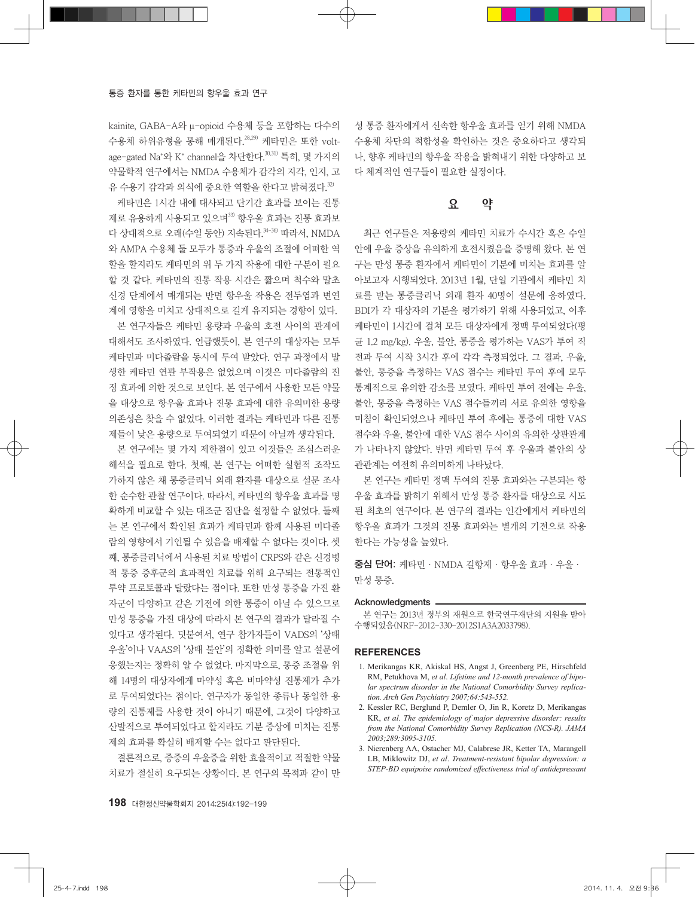kainite, GABA-A와 μ-opioid 수용체 등을 포함하는 다수의 수용체 하위유형을 통해 매개된다. 28,29) 케타민은 또한 voltage–gated Na\*와 K\* channel을 차단한다.<sup>30,31)</sup> 특히, 몇 가지의 약물학적 연구에서는 NMDA 수용체가 감각의 지각, 인지, 고 유 수용기 감각과 의식에 중요한 역할을 한다고 밝혀졌다. 32)

케타민은 1시간 내에 대사되고 단기간 효과를 보이는 진통 제로 유용하게 사용되고 있으며<sup>33)</sup> 항우울 효과는 진통 효과보 다 상대적으로 오래(수일 동안) 지속된다.<sup>34-36)</sup> 따라서, NMDA 와 AMPA 수용체 둘 모두가 통증과 우울의 조절에 어떠한 역 할을 할지라도 케타민의 위 두 가지 작용에 대한 구분이 필요 할 것 같다. 케타민의 진통 작용 시간은 짧으며 척수와 말초 신경 단계에서 매개되는 반면 항우울 작용은 전두엽과 변연 계에 영향을 미치고 상대적으로 길게 유지되는 경향이 있다.

본 연구자들은 케타민 용량과 우울의 호전 사이의 관계에 대해서도 조사하였다. 언급했듯이, 본 연구의 대상자는 모두 케타민과 미다졸람을 동시에 투여 받았다. 연구 과정에서 발 생한 케타민 연관 부작용은 없었으며 이것은 미다졸람의 진 정 효과에 의한 것으로 보인다. 본 연구에서 사용한 모든 약물 을 대상으로 항우울 효과나 진통 효과에 대한 유의미한 용량 의존성은 찾을 수 없었다. 이러한 결과는 케타민과 다른 진통 제들이 낮은 용량으로 투여되었기 때문이 아닐까 생각된다.

본 연구에는 몇 가지 제한점이 있고 이것들은 조심스러운 해석을 필요로 한다. 첫째, 본 연구는 어떠한 실험적 조작도 가하지 않은 채 통증클리닉 외래 환자를 대상으로 설문 조사 한 순수한 관찰 연구이다. 따라서, 케타민의 항우울 효과를 명 확하게 비교할 수 있는 대조군 집단을 설정할 수 없었다. 둘째 는 본 연구에서 확인된 효과가 케타민과 함께 사용된 미다졸 람의 영향에서 기인될 수 있음을 배제할 수 없다는 것이다. 셋 째, 통증클리닉에서 사용된 치료 방법이 CRPS와 같은 신경병 적 통증 증후군의 효과적인 치료를 위해 요구되는 전통적인 투약 프로토콜과 달랐다는 점이다. 또한 만성 통증을 가진 환 자군이 다양하고 같은 기전에 의한 통증이 아닐 수 있으므로 만성 통증을 가진 대상에 따라서 본 연구의 결과가 달라질 수 있다고 생각된다. 덧붙여서, 연구 참가자들이 VADS의 '상태 우울'이나 VAAS의 '상태 불안'의 정확한 의미를 알고 설문에 응했는지는 정확히 알 수 없었다. 마지막으로, 통증 조절을 위 해 14명의 대상자에게 마약성 혹은 비마약성 진통제가 추가 로 투여되었다는 점이다. 연구자가 동일한 종류나 동일한 용 량의 진통제를 사용한 것이 아니기 때문에, 그것이 다양하고 산발적으로 투여되었다고 할지라도 기분 증상에 미치는 진통 제의 효과를 확실히 배제할 수는 없다고 판단된다.

결론적으로, 중증의 우울증을 위한 효율적이고 적절한 약물 치료가 절실히 요구되는 상황이다. 본 연구의 목적과 같이 만 성 통증 환자에게서 신속한 항우울 효과를 얻기 위해 NMDA 수용체 차단의 적합성을 확인하는 것은 중요하다고 생각되 나, 향후 케타민의 항우울 작용을 밝혀내기 위한 다양하고 보 다 체계적인 연구들이 필요한 실정이다.

# 요 약

최근 연구들은 저용량의 케타민 치료가 수시간 혹은 수일 안에 우울 증상을 유의하게 호전시켰음을 증명해 왔다. 본 연 구는 만성 통증 환자에서 케타민이 기분에 미치는 효과를 알 아보고자 시행되었다. 2013년 1월, 단일 기관에서 케타민 치 료를 받는 통증클리닉 외래 환자 40명이 설문에 응하였다. BDI가 각 대상자의 기분을 평가하기 위해 사용되었고, 이후 케타민이 1시간에 걸쳐 모든 대상자에게 정맥 투여되었다(평 균 1.2 mg/kg). 우울, 불안, 통증을 평가하는 VAS가 투여 직 전과 투여 시작 3시간 후에 각각 측정되었다. 그 결과, 우울, 불안, 통증을 측정하는 VAS 점수는 케타민 투여 후에 모두 통계적으로 유의한 감소를 보였다. 케타민 투여 전에는 우울, 불안, 통증을 측정하는 VAS 점수들끼리 서로 유의한 영향을 미침이 확인되었으나 케타민 투여 후에는 통증에 대한 VAS 점수와 우울, 불안에 대한 VAS 점수 사이의 유의한 상관관계 가 나타나지 않았다. 반면 케타민 투여 후 우울과 불안의 상 관관계는 여전히 유의미하게 나타났다.

본 연구는 케타민 정맥 투여의 진통 효과와는 구분되는 항 우울 효과를 밝히기 위해서 만성 통증 환자를 대상으로 시도 된 최초의 연구이다. 본 연구의 결과는 인간에게서 케타민의 항우울 효과가 그것의 진통 효과와는 별개의 기전으로 작용 한다는 가능성을 높였다.

중심 단어: 케타민·NMDA 길항제·항우울 효과·우울· 만성 통증.

#### Acknowledgments -

본 연구는 2013년 정부의 재원으로 한국연구재단의 지원을 받아 수행되었음(NRF-2012-330-2012S1A3A2033798).

#### **REFERENCES**

- 1. Merikangas KR, Akiskal HS, Angst J, Greenberg PE, Hirschfeld RM, Petukhova M, *et al*. *Lifetime and 12-month prevalence of bipolar spectrum disorder in the National Comorbidity Survey replication. Arch Gen Psychiatry 2007;64:543-552.*
- 2. Kessler RC, Berglund P, Demler O, Jin R, Koretz D, Merikangas KR, *et al*. *The epidemiology of major depressive disorder: results from the National Comorbidity Survey Replication (NCS-R). JAMA 2003;289:3095-3105.*
- 3. Nierenberg AA, Ostacher MJ, Calabrese JR, Ketter TA, Marangell LB, Miklowitz DJ, *et al*. *Treatment-resistant bipolar depression: a STEP-BD equipoise randomized effectiveness trial of antidepressant*